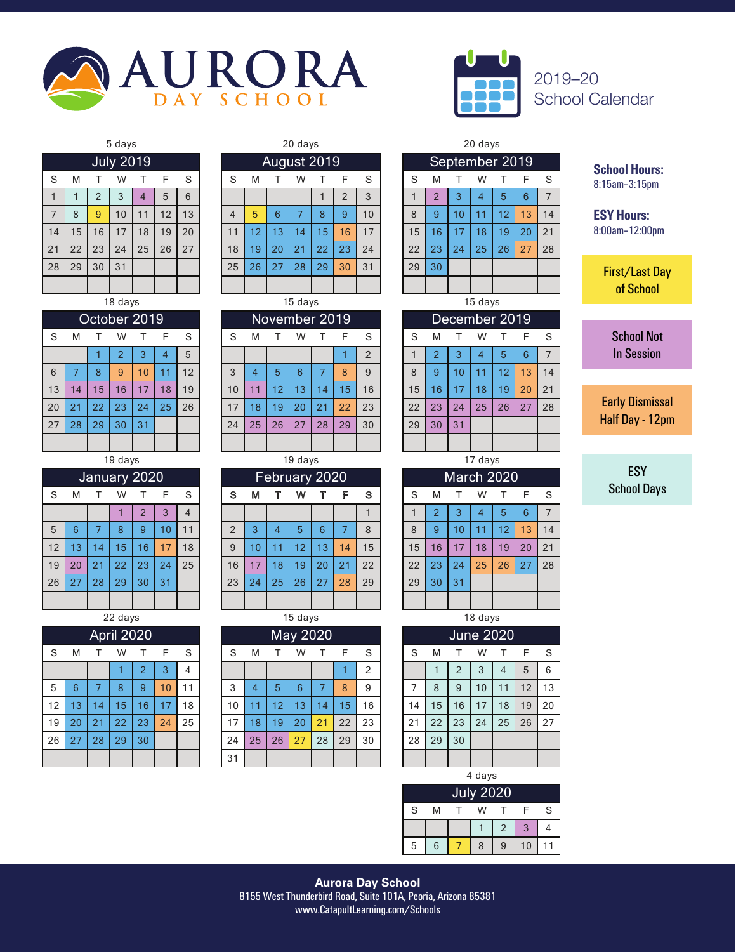



2019–20 School Calendar

# 28 | 29 | 30 | 31 | | | | | | | 25 | 26 | 27 | 28 | 29 | 30 | 31 | | 29 | 30 **July 2019**

| ۰. | ×<br>× |
|----|--------|
|----|--------|

|    | October 2019 |    |                |    |    |    |  |  |  |  |  |  |  |  |  |
|----|--------------|----|----------------|----|----|----|--|--|--|--|--|--|--|--|--|
| S  | M            | т  | W              | т  | F  | S  |  |  |  |  |  |  |  |  |  |
|    |              |    | $\overline{2}$ | 3  | 4  | 5  |  |  |  |  |  |  |  |  |  |
| 6  | 7            | 8  | 9              | 10 | 11 | 12 |  |  |  |  |  |  |  |  |  |
| 13 | 14           | 15 | 16             | 17 | 18 | 19 |  |  |  |  |  |  |  |  |  |
| 20 | 21           | 22 | 23             | 24 | 25 | 26 |  |  |  |  |  |  |  |  |  |
| 27 | 28           | 29 | 30             | 31 |    |    |  |  |  |  |  |  |  |  |  |
|    |              |    |                |    |    |    |  |  |  |  |  |  |  |  |  |

|--|--|--|

| January 2020 |    |    |    |                |    |    |  |  |  |  |  |  |  |
|--------------|----|----|----|----------------|----|----|--|--|--|--|--|--|--|
| S            | M  |    | W  | т              | F  | S  |  |  |  |  |  |  |  |
|              |    |    |    | $\overline{2}$ | 3  |    |  |  |  |  |  |  |  |
| 5            | 6  | 7  | 8  | 9              | 10 | 11 |  |  |  |  |  |  |  |
| 12           | 13 | 14 | 15 | 16             | 17 | 18 |  |  |  |  |  |  |  |
| 19           | 20 | 21 | 22 | 23             | 24 | 25 |  |  |  |  |  |  |  |
| 26           | 27 | 28 | 29 | 30             | 31 |    |  |  |  |  |  |  |  |
|              |    |    |    |                |    |    |  |  |  |  |  |  |  |

| April 2020 |    |    |    |                |    |    |  |  |  |  |  |  |  |  |
|------------|----|----|----|----------------|----|----|--|--|--|--|--|--|--|--|
| S          | M  | т  | W  |                | F  | S  |  |  |  |  |  |  |  |  |
|            |    |    |    | $\overline{2}$ | 3  | 4  |  |  |  |  |  |  |  |  |
| 5          | 6  | 7  | 8  | 9              | 10 | 11 |  |  |  |  |  |  |  |  |
| 12         | 13 | 14 | 15 | 16             | 17 | 18 |  |  |  |  |  |  |  |  |
| 19         | 20 | 21 | 22 | 23             | 24 | 25 |  |  |  |  |  |  |  |  |
| 26         | 27 | 28 | 29 | 30             |    |    |  |  |  |  |  |  |  |  |
|            |    |    |    |                |    |    |  |  |  |  |  |  |  |  |

|   |   | August 2019 |   |   |  |
|---|---|-------------|---|---|--|
| м |   | W           |   | F |  |
|   |   |             |   | 2 |  |
| 5 | 6 |             | 8 |   |  |
|   |   |             | 5 | 6 |  |

| 18 days<br>15 days<br>15 days<br>October 2019<br>November 2019<br>December 2019<br>S<br>S<br>S<br>S<br>W<br>S<br>W<br>F<br>M<br>M<br>F<br>W<br>M<br>5<br>2<br>3<br>$\overline{2}$<br>3<br>5<br>6<br>2<br>4<br>4<br>6<br>12<br>5<br>8<br>9<br>10<br>3<br>6<br>8<br>8<br>9<br>13<br>9<br>10<br>12<br>4 |     |
|------------------------------------------------------------------------------------------------------------------------------------------------------------------------------------------------------------------------------------------------------------------------------------------------------|-----|
|                                                                                                                                                                                                                                                                                                      |     |
|                                                                                                                                                                                                                                                                                                      |     |
|                                                                                                                                                                                                                                                                                                      | - S |
|                                                                                                                                                                                                                                                                                                      | 7   |
|                                                                                                                                                                                                                                                                                                      | 14  |
| 13<br>17<br>15<br>15<br>15<br>16<br>18<br>19<br>10<br>12<br>13<br>14<br>16<br>16<br>17<br>18<br>19<br>20<br>14<br>11                                                                                                                                                                                 | 21  |
| 20<br>25<br>26<br>22<br>25<br>22<br>23<br>17<br>21<br>23<br>22<br>23<br>27<br>21<br>24<br>18<br>19<br>24<br>26<br>20                                                                                                                                                                                 | 28  |
| 27<br>28<br>27<br>29<br>29<br>30<br>31<br>24<br>25<br>26<br>29<br>30<br>28<br>30<br>31                                                                                                                                                                                                               |     |
|                                                                                                                                                                                                                                                                                                      |     |

|    |    |                | 19 days      |          |     |                |    |    |    | 19 days       |    |    |    |    |    |            | 17 days |    |    |                |
|----|----|----------------|--------------|----------|-----|----------------|----|----|----|---------------|----|----|----|----|----|------------|---------|----|----|----------------|
|    |    |                | January 2020 |          |     |                |    |    |    | February 2020 |    |    |    |    |    | March 2020 |         |    |    |                |
| S  | M  |                | W            |          |     | S              | S  | м  |    | w             |    |    | s  | S  | M  |            | W       |    | F  | -S             |
|    |    |                |              | $\Omega$ | 3   | $\overline{4}$ |    |    |    |               |    |    |    |    |    | 3          | 4       | 5  | 6  | $\overline{7}$ |
| 5  | 6  |                | 8            | 9        | 10. | 11             | C  | 3  | 4  | 5             | 6  |    | 8  | 8  | 9  | 10         |         | 12 | 13 | 14             |
| 12 | 13 | $\overline{4}$ | 15           | 16       | 7   | 18             | 9  | 10 | 11 | 12            | 13 | 14 | 15 | 15 | 16 | 17         | 18      | 19 | 20 | 21             |
| 19 | 20 | 21             | 22           | 23       | 24  | 25             | 16 | 17 | 18 | 19            | 20 | 21 | 22 | 22 | 23 | 24         | 25      | 26 | 27 | 28             |
| 26 | 27 | 28             | 29           | 30       | 31  |                | 23 | 24 | 25 | 26            | 27 | 28 | 29 | 29 | 30 | 31         |         |    |    |                |
|    |    |                |              |          |     |                |    |    |    |               |    |    |    |    |    |            |         |    |    |                |

|    |    |     | 22 days    |    |    |                |    |    |    | 15 days  |    |    |    |    |    |                  | 18 days |    |    |     |
|----|----|-----|------------|----|----|----------------|----|----|----|----------|----|----|----|----|----|------------------|---------|----|----|-----|
|    |    |     | April 2020 |    |    |                |    |    |    | May 2020 |    |    |    |    |    | <b>June 2020</b> |         |    |    |     |
| S  | M  |     | W          |    | F  | S              | S  | M  |    | W        |    | F  | S  | S  | M  |                  | W       |    | F  | - S |
|    |    |     |            | റ  | 3  | $\overline{4}$ |    |    |    |          |    |    | 2  |    |    | $\overline{2}$   | 3       | 4  | 5  | 6   |
| 5  | 6  |     | 8          | 9  | 10 | 11             | 3  | 4  | 5  | 6        |    | 8  | 9  | ⇁  | 8  | 9                | 10      | 11 | 12 | 13  |
| 12 | 13 | 14. | 15         | 16 |    | 18             | 10 |    | 12 | 13       | 14 | 15 | 16 | 14 | 15 | 16               | 17      | 18 | 19 | 20  |
| 19 | 20 | 21  | 22         | 23 | 24 | 25             | 17 | 18 | 19 | 20       | 21 | 22 | 23 | 21 | 22 | 23               | 24      | 25 | 26 | 27  |
| 26 | 27 | 28  | 29         | 30 |    |                | 24 | 25 | 26 | 27       | 28 | 29 | 30 | 28 | 29 | 30               |         |    |    |     |
|    |    |     |            |    |    |                | 31 |    |    |          |    |    |    |    |    |                  |         |    |    |     |

|                |    |    | 5 days           |    |    |    |    |    |    | 20 days     |    |            |    |         |                |    | 20 days<br>W<br>F<br>5<br>6<br>4 |    |    |     |  |
|----------------|----|----|------------------|----|----|----|----|----|----|-------------|----|------------|----|---------|----------------|----|----------------------------------|----|----|-----|--|
|                |    |    | <b>July 2019</b> |    |    |    |    |    |    | August 2019 |    |            |    |         | September 2019 |    |                                  |    |    |     |  |
| S              | M  |    | W                |    |    | S  | S  | M  |    | W           |    |            | S  | S       | M              |    |                                  |    |    | - S |  |
|                |    | 2  | 3                | 4  | 5  | 6  |    |    |    |             |    | $\epsilon$ | 3  |         | ∠              | 3  |                                  |    |    | 7   |  |
| $\overline{7}$ | 8  | 9  | 10               | 11 | 12 | 13 | 4  | 5  | 6  |             | 8  | 9          | 10 | 8       | 9              | 10 | и                                | 12 | 13 | 14  |  |
| 14             | 15 | 16 | 17               | 18 | 19 | 20 | 11 | 12 | 13 | 14          | 15 | 16         | 17 | 15      | 16             | 17 | 18                               | 19 | 20 | 21  |  |
| 21             | 22 | 23 | 24               | 25 | 26 | 27 | 18 | 19 | 20 | 21          | 22 | 23         | 24 | 22      | 23             | 24 | 25                               | 26 | 27 | 28  |  |
| 28             | 29 | 30 | 31               |    |    |    | 25 | 26 | 27 | 28          | 29 | 30         | 31 | 29      | 30             |    |                                  |    |    |     |  |
|                |    |    |                  |    |    |    |    |    |    |             |    |            |    |         |                |    |                                  |    |    |     |  |
|                |    |    | 18 days          |    |    |    |    |    |    | 15 days     |    |            |    | 15 days |                |    |                                  |    |    |     |  |

| December 2019 |                |    |    |    |    |    |  |  |  |  |  |  |  |
|---------------|----------------|----|----|----|----|----|--|--|--|--|--|--|--|
| S             | M              |    | W  |    | F  | S  |  |  |  |  |  |  |  |
|               | $\overline{2}$ | 3  | 4  | 5  | 6  |    |  |  |  |  |  |  |  |
| 8             | 9              | 10 | 11 | 12 | 13 | 14 |  |  |  |  |  |  |  |
| 15            | 16             | 17 | 18 | 19 | 20 | 21 |  |  |  |  |  |  |  |
| 22            | 23             | 24 | 25 | 26 | 27 | 28 |  |  |  |  |  |  |  |
| 29            | 30             | 31 |    |    |    |    |  |  |  |  |  |  |  |
|               |                |    |    |    |    |    |  |  |  |  |  |  |  |

|    | March 2020     |    |    |    |    |    |  |  |  |  |  |  |  |  |
|----|----------------|----|----|----|----|----|--|--|--|--|--|--|--|--|
| S  | M              | F  | S  |    |    |    |  |  |  |  |  |  |  |  |
|    | $\overline{2}$ | 3  | 4  | 5  | 6  |    |  |  |  |  |  |  |  |  |
| 8  | 9              | 10 | 11 | 12 | 13 | 14 |  |  |  |  |  |  |  |  |
| 15 | 16             | 17 | 18 | 19 | 20 | 21 |  |  |  |  |  |  |  |  |
| 22 | 23             | 24 | 25 | 26 | 27 | 28 |  |  |  |  |  |  |  |  |
| 29 | 30             | 31 |    |    |    |    |  |  |  |  |  |  |  |  |
|    |                |    |    |    |    |    |  |  |  |  |  |  |  |  |

| <b>June 2020</b> |    |                |    |    |    |    |  |  |
|------------------|----|----------------|----|----|----|----|--|--|
| S                | M  |                | W  |    | F  | S  |  |  |
|                  |    | $\overline{2}$ | 3  | 4  | 5  | 6  |  |  |
|                  | 8  | 9              | 10 | 11 | 12 | 13 |  |  |
| 14               | 15 | 16             | 17 | 18 | 19 | 20 |  |  |
| 21               | 22 | 23             | 24 | 25 | 26 | 27 |  |  |
| 28               | 29 | 30             |    |    |    |    |  |  |
|                  |    |                |    |    |    |    |  |  |

4 days

| <b>July 2020</b> |   |  |   |   |    |   |  |  |
|------------------|---|--|---|---|----|---|--|--|
| S                | М |  | W |   |    | S |  |  |
|                  |   |  |   | っ |    |   |  |  |
| 5                | 6 |  | 8 | 9 | 10 |   |  |  |

**School Hours:** 8:15am–3:15pm

**ESY Hours:** 8:00am–12:00pm

> First/Last Day of School

> > School Not In Session

Early Dismissal Half Day - 12pm

ESY School Days

**Aurora Day School** 8155 West Thunderbird Road, Suite 101A, Peoria, Arizona 85381 www.CatapultLearning.com/Schools